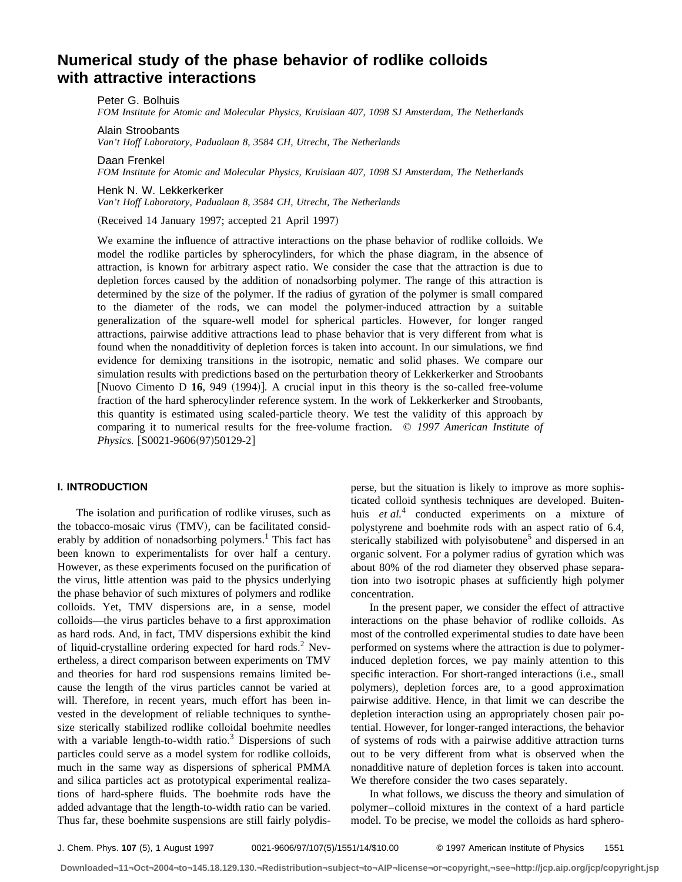# **Numerical study of the phase behavior of rodlike colloids with attractive interactions**

Peter G. Bolhuis

*FOM Institute for Atomic and Molecular Physics, Kruislaan 407, 1098 SJ Amsterdam, The Netherlands*

Alain Stroobants

*Van't Hoff Laboratory, Padualaan 8, 3584 CH, Utrecht, The Netherlands*

Daan Frenkel

*FOM Institute for Atomic and Molecular Physics, Kruislaan 407, 1098 SJ Amsterdam, The Netherlands*

Henk N. W. Lekkerkerker

*Van't Hoff Laboratory, Padualaan 8, 3584 CH, Utrecht, The Netherlands*

(Received 14 January 1997; accepted 21 April 1997)

We examine the influence of attractive interactions on the phase behavior of rodlike colloids. We model the rodlike particles by spherocylinders, for which the phase diagram, in the absence of attraction, is known for arbitrary aspect ratio. We consider the case that the attraction is due to depletion forces caused by the addition of nonadsorbing polymer. The range of this attraction is determined by the size of the polymer. If the radius of gyration of the polymer is small compared to the diameter of the rods, we can model the polymer-induced attraction by a suitable generalization of the square-well model for spherical particles. However, for longer ranged attractions, pairwise additive attractions lead to phase behavior that is very different from what is found when the nonadditivity of depletion forces is taken into account. In our simulations, we find evidence for demixing transitions in the isotropic, nematic and solid phases. We compare our simulation results with predictions based on the perturbation theory of Lekkerkerker and Stroobants [Nuovo Cimento D 16, 949 (1994)]. A crucial input in this theory is the so-called free-volume fraction of the hard spherocylinder reference system. In the work of Lekkerkerker and Stroobants, this quantity is estimated using scaled-particle theory. We test the validity of this approach by comparing it to numerical results for the free-volume fraction. © *1997 American Institute of Physics.* [S0021-9606(97)50129-2]

# **I. INTRODUCTION**

The isolation and purification of rodlike viruses, such as the tobacco-mosaic virus (TMV), can be facilitated considerably by addition of nonadsorbing polymers.<sup>1</sup> This fact has been known to experimentalists for over half a century. However, as these experiments focused on the purification of the virus, little attention was paid to the physics underlying the phase behavior of such mixtures of polymers and rodlike colloids. Yet, TMV dispersions are, in a sense, model colloids—the virus particles behave to a first approximation as hard rods. And, in fact, TMV dispersions exhibit the kind of liquid-crystalline ordering expected for hard rods.<sup>2</sup> Nevertheless, a direct comparison between experiments on TMV and theories for hard rod suspensions remains limited because the length of the virus particles cannot be varied at will. Therefore, in recent years, much effort has been invested in the development of reliable techniques to synthesize sterically stabilized rodlike colloidal boehmite needles with a variable length-to-width ratio.<sup>3</sup> Dispersions of such particles could serve as a model system for rodlike colloids, much in the same way as dispersions of spherical PMMA and silica particles act as prototypical experimental realizations of hard-sphere fluids. The boehmite rods have the added advantage that the length-to-width ratio can be varied. Thus far, these boehmite suspensions are still fairly polydisperse, but the situation is likely to improve as more sophisticated colloid synthesis techniques are developed. Buitenhuis *et al.*<sup>4</sup> conducted experiments on a mixture of polystyrene and boehmite rods with an aspect ratio of 6.4, sterically stabilized with polyisobutene<sup>5</sup> and dispersed in an organic solvent. For a polymer radius of gyration which was about 80% of the rod diameter they observed phase separation into two isotropic phases at sufficiently high polymer concentration.

In the present paper, we consider the effect of attractive interactions on the phase behavior of rodlike colloids. As most of the controlled experimental studies to date have been performed on systems where the attraction is due to polymerinduced depletion forces, we pay mainly attention to this specific interaction. For short-ranged interactions (i.e., small polymers!, depletion forces are, to a good approximation pairwise additive. Hence, in that limit we can describe the depletion interaction using an appropriately chosen pair potential. However, for longer-ranged interactions, the behavior of systems of rods with a pairwise additive attraction turns out to be very different from what is observed when the nonadditive nature of depletion forces is taken into account. We therefore consider the two cases separately.

In what follows, we discuss the theory and simulation of polymer–colloid mixtures in the context of a hard particle model. To be precise, we model the colloids as hard sphero-

J. Chem. Phys. **107** (5), 1 August 1997 0021-9606/97/107(5)/1551/14/\$10.00 © 1997 American Institute of Physics 1551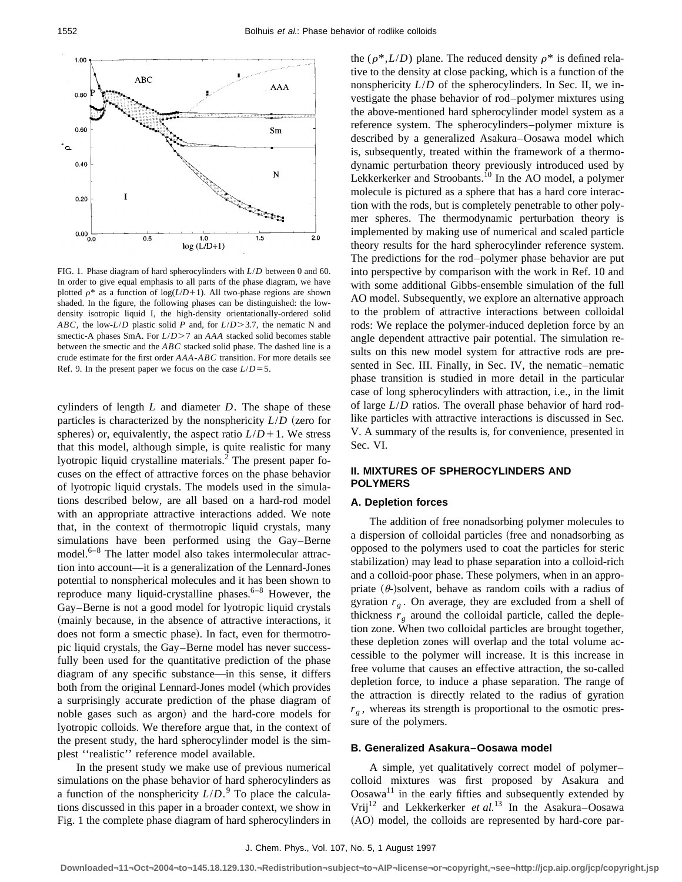

FIG. 1. Phase diagram of hard spherocylinders with *L*/*D* between 0 and 60. In order to give equal emphasis to all parts of the phase diagram, we have plotted  $\rho^*$  as a function of log( $L/D+1$ ). All two-phase regions are shown shaded. In the figure, the following phases can be distinguished: the lowdensity isotropic liquid I, the high-density orientationally-ordered solid *ABC*, the low-*L*/*D* plastic solid *P* and, for *L*/*D*.3.7, the nematic N and smectic-A phases SmA. For *L*/*D*.7 an *AAA* stacked solid becomes stable between the smectic and the *ABC* stacked solid phase. The dashed line is a crude estimate for the first order *AAA*-*ABC* transition. For more details see Ref. 9. In the present paper we focus on the case  $L/D = 5$ .

cylinders of length *L* and diameter *D*. The shape of these particles is characterized by the nonsphericity  $L/D$  (zero for spheres) or, equivalently, the aspect ratio  $L/D+1$ . We stress that this model, although simple, is quite realistic for many lyotropic liquid crystalline materials.<sup>2</sup> The present paper focuses on the effect of attractive forces on the phase behavior of lyotropic liquid crystals. The models used in the simulations described below, are all based on a hard-rod model with an appropriate attractive interactions added. We note that, in the context of thermotropic liquid crystals, many simulations have been performed using the Gay–Berne model.<sup>6–8</sup> The latter model also takes intermolecular attraction into account—it is a generalization of the Lennard-Jones potential to nonspherical molecules and it has been shown to reproduce many liquid-crystalline phases. $6-8$  However, the Gay–Berne is not a good model for lyotropic liquid crystals (mainly because, in the absence of attractive interactions, it does not form a smectic phase). In fact, even for thermotropic liquid crystals, the Gay–Berne model has never successfully been used for the quantitative prediction of the phase diagram of any specific substance—in this sense, it differs both from the original Lennard-Jones model (which provides a surprisingly accurate prediction of the phase diagram of noble gases such as argon) and the hard-core models for lyotropic colloids. We therefore argue that, in the context of the present study, the hard spherocylinder model is the simplest ''realistic'' reference model available.

In the present study we make use of previous numerical simulations on the phase behavior of hard spherocylinders as a function of the nonsphericity  $L/D$ .<sup>9</sup> To place the calculations discussed in this paper in a broader context, we show in Fig. 1 the complete phase diagram of hard spherocylinders in tive to the density at close packing, which is a function of the nonsphericity *L*/*D* of the spherocylinders. In Sec. II, we investigate the phase behavior of rod–polymer mixtures using the above-mentioned hard spherocylinder model system as a reference system. The spherocylinders–polymer mixture is described by a generalized Asakura–Oosawa model which is, subsequently, treated within the framework of a thermodynamic perturbation theory previously introduced used by Lekkerkerker and Stroobants.<sup>10</sup> In the AO model, a polymer molecule is pictured as a sphere that has a hard core interaction with the rods, but is completely penetrable to other polymer spheres. The thermodynamic perturbation theory is implemented by making use of numerical and scaled particle theory results for the hard spherocylinder reference system. The predictions for the rod–polymer phase behavior are put into perspective by comparison with the work in Ref. 10 and with some additional Gibbs-ensemble simulation of the full AO model. Subsequently, we explore an alternative approach to the problem of attractive interactions between colloidal rods: We replace the polymer-induced depletion force by an angle dependent attractive pair potential. The simulation results on this new model system for attractive rods are presented in Sec. III. Finally, in Sec. IV, the nematic–nematic phase transition is studied in more detail in the particular case of long spherocylinders with attraction, i.e., in the limit of large *L*/*D* ratios. The overall phase behavior of hard rodlike particles with attractive interactions is discussed in Sec. V. A summary of the results is, for convenience, presented in Sec. VI.

the ( $\rho^*$ ,*L*/*D*) plane. The reduced density  $\rho^*$  is defined rela-

# **II. MIXTURES OF SPHEROCYLINDERS AND POLYMERS**

# **A. Depletion forces**

The addition of free nonadsorbing polymer molecules to a dispersion of colloidal particles (free and nonadsorbing as opposed to the polymers used to coat the particles for steric stabilization) may lead to phase separation into a colloid-rich and a colloid-poor phase. These polymers, when in an appropriate  $(\theta$ -)solvent, behave as random coils with a radius of gyration  $r_g$ . On average, they are excluded from a shell of thickness  $r<sub>g</sub>$  around the colloidal particle, called the depletion zone. When two colloidal particles are brought together, these depletion zones will overlap and the total volume accessible to the polymer will increase. It is this increase in free volume that causes an effective attraction, the so-called depletion force, to induce a phase separation. The range of the attraction is directly related to the radius of gyration  $r_g$ , whereas its strength is proportional to the osmotic pressure of the polymers.

# **B. Generalized Asakura–Oosawa model**

A simple, yet qualitatively correct model of polymer– colloid mixtures was first proposed by Asakura and  $Oosawa<sup>11</sup>$  in the early fifties and subsequently extended by Vrij<sup>12</sup> and Lekkerkerker *et al.*<sup>13</sup> In the Asakura–Oosawa (AO) model, the colloids are represented by hard-core par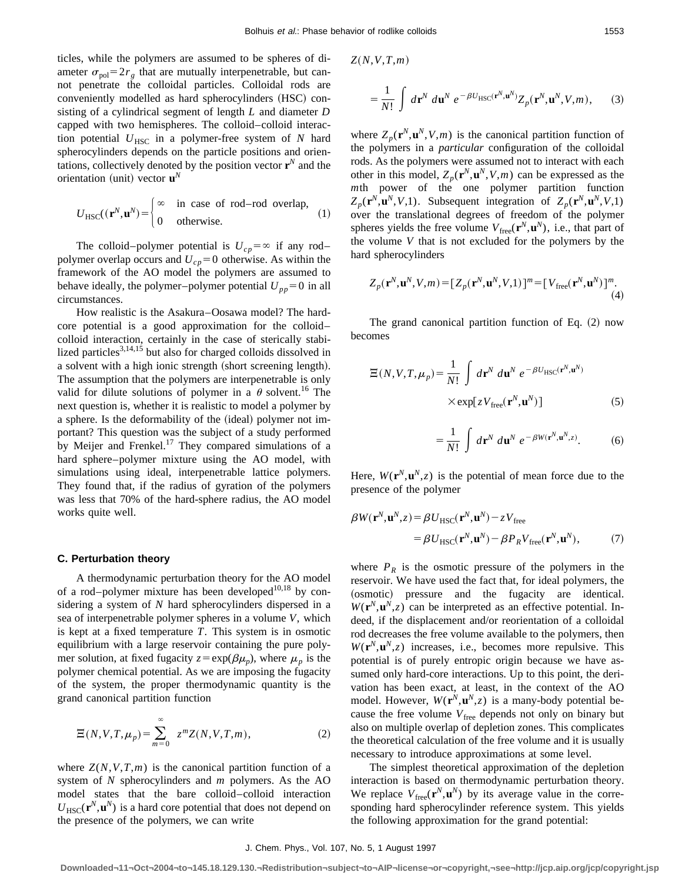ticles, while the polymers are assumed to be spheres of diameter  $\sigma_{\text{pol}}=2r_g$  that are mutually interpenetrable, but cannot penetrate the colloidal particles. Colloidal rods are conveniently modelled as hard spherocylinders (HSC) consisting of a cylindrical segment of length *L* and diameter *D* capped with two hemispheres. The colloid–colloid interaction potential  $U_{HSC}$  in a polymer-free system of  $N$  hard spherocylinders depends on the particle positions and orientations, collectively denoted by the position vector  $\mathbf{r}^N$  and the orientation (unit) vector  $\mathbf{u}^N$ 

$$
U_{\text{HSC}}((\mathbf{r}^N, \mathbf{u}^N) = \begin{cases} \infty & \text{in case of rod–rod overlap,} \\ 0 & \text{otherwise.} \end{cases}
$$
 (1)

The colloid–polymer potential is  $U_{cp} = \infty$  if any rod– polymer overlap occurs and  $U_{cp} = 0$  otherwise. As within the framework of the AO model the polymers are assumed to behave ideally, the polymer–polymer potential  $U_{pp}$ =0 in all circumstances.

How realistic is the Asakura–Oosawa model? The hardcore potential is a good approximation for the colloid– colloid interaction, certainly in the case of sterically stabilized particles<sup>3,14,15</sup> but also for charged colloids dissolved in a solvent with a high ionic strength (short screening length). The assumption that the polymers are interpenetrable is only valid for dilute solutions of polymer in a  $\theta$  solvent.<sup>16</sup> The next question is, whether it is realistic to model a polymer by a sphere. Is the deformability of the (ideal) polymer not important? This question was the subject of a study performed by Meijer and Frenkel.<sup>17</sup> They compared simulations of a hard sphere–polymer mixture using the AO model, with simulations using ideal, interpenetrable lattice polymers. They found that, if the radius of gyration of the polymers was less that 70% of the hard-sphere radius, the AO model works quite well.

#### **C. Perturbation theory**

A thermodynamic perturbation theory for the AO model of a rod–polymer mixture has been developed $10,18$  by considering a system of *N* hard spherocylinders dispersed in a sea of interpenetrable polymer spheres in a volume *V*, which is kept at a fixed temperature *T*. This system is in osmotic equilibrium with a large reservoir containing the pure polymer solution, at fixed fugacity  $z = \exp(\beta \mu_p)$ , where  $\mu_p$  is the polymer chemical potential. As we are imposing the fugacity of the system, the proper thermodynamic quantity is the grand canonical partition function

$$
\Xi(N,V,T,\mu_p) = \sum_{m=0}^{\infty} z^m Z(N,V,T,m), \qquad (2)
$$

where  $Z(N, V, T, m)$  is the canonical partition function of a system of *N* spherocylinders and *m* polymers. As the AO model states that the bare colloid–colloid interaction  $U_{\text{HSC}}(\mathbf{r}^N, \mathbf{u}^N)$  is a hard core potential that does not depend on the presence of the polymers, we can write

$$
Z(N,V,T,m)
$$

$$
= \frac{1}{N!} \int d\mathbf{r}^{N} d\mathbf{u}^{N} e^{-\beta U_{\text{HSC}}(\mathbf{r}^{N}, \mathbf{u}^{N})} Z_{p}(\mathbf{r}^{N}, \mathbf{u}^{N}, V, m), \qquad (3)
$$

where  $Z_p(\mathbf{r}^N, \mathbf{u}^N, V, m)$  is the canonical partition function of the polymers in a *particular* configuration of the colloidal rods. As the polymers were assumed not to interact with each other in this model,  $Z_p(\mathbf{r}^N,\mathbf{u}^N,V,m)$  can be expressed as the *m*th power of the one polymer partition function  $Z_p(\mathbf{r}^N, \mathbf{u}^N, V, 1)$ . Subsequent integration of  $Z_p(\mathbf{r}^N, \mathbf{u}^N, V, 1)$ over the translational degrees of freedom of the polymer spheres yields the free volume  $V_{\text{free}}(\mathbf{r}^N,\mathbf{u}^N)$ , i.e., that part of the volume *V* that is not excluded for the polymers by the hard spherocylinders

$$
Z_p(\mathbf{r}^N, \mathbf{u}^N, V, m) = [Z_p(\mathbf{r}^N, \mathbf{u}^N, V, 1)]^m = [V_{\text{free}}(\mathbf{r}^N, \mathbf{u}^N)]^m.
$$
\n(4)

The grand canonical partition function of Eq.  $(2)$  now becomes

$$
\Xi(N, V, T, \mu_p) = \frac{1}{N!} \int d\mathbf{r}^N d\mathbf{u}^N e^{-\beta U_{\text{HSC}}(\mathbf{r}^N, \mathbf{u}^N)}
$$

$$
\times \exp[zV_{\text{free}}(\mathbf{r}^N, \mathbf{u}^N)]
$$
(5)

$$
=\frac{1}{N!}\int d\mathbf{r}^{N} d\mathbf{u}^{N} e^{-\beta W(\mathbf{r}^{N}, \mathbf{u}^{N}, z)}.
$$
 (6)

Here,  $W(\mathbf{r}^N, \mathbf{u}^N, z)$  is the potential of mean force due to the presence of the polymer

$$
\beta W(\mathbf{r}^{N}, \mathbf{u}^{N}, z) = \beta U_{\text{HSC}}(\mathbf{r}^{N}, \mathbf{u}^{N}) - z V_{\text{free}}
$$
  
=  $\beta U_{\text{HSC}}(\mathbf{r}^{N}, \mathbf{u}^{N}) - \beta P_{R} V_{\text{free}}(\mathbf{r}^{N}, \mathbf{u}^{N}),$  (7)

where  $P_R$  is the osmotic pressure of the polymers in the reservoir. We have used the fact that, for ideal polymers, the (osmotic) pressure and the fugacity are identical.  $W(\mathbf{r}^N, \mathbf{u}^N, z)$  can be interpreted as an effective potential. Indeed, if the displacement and/or reorientation of a colloidal rod decreases the free volume available to the polymers, then  $W(\mathbf{r}^N, \mathbf{u}^N, z)$  increases, i.e., becomes more repulsive. This potential is of purely entropic origin because we have assumed only hard-core interactions. Up to this point, the derivation has been exact, at least, in the context of the AO model. However,  $W(\mathbf{r}^N, \mathbf{u}^N, z)$  is a many-body potential because the free volume  $V_{\text{free}}$  depends not only on binary but also on multiple overlap of depletion zones. This complicates the theoretical calculation of the free volume and it is usually necessary to introduce approximations at some level.

The simplest theoretical approximation of the depletion interaction is based on thermodynamic perturbation theory. We replace  $V_{\text{free}}(\mathbf{r}^N, \mathbf{u}^N)$  by its average value in the corresponding hard spherocylinder reference system. This yields the following approximation for the grand potential: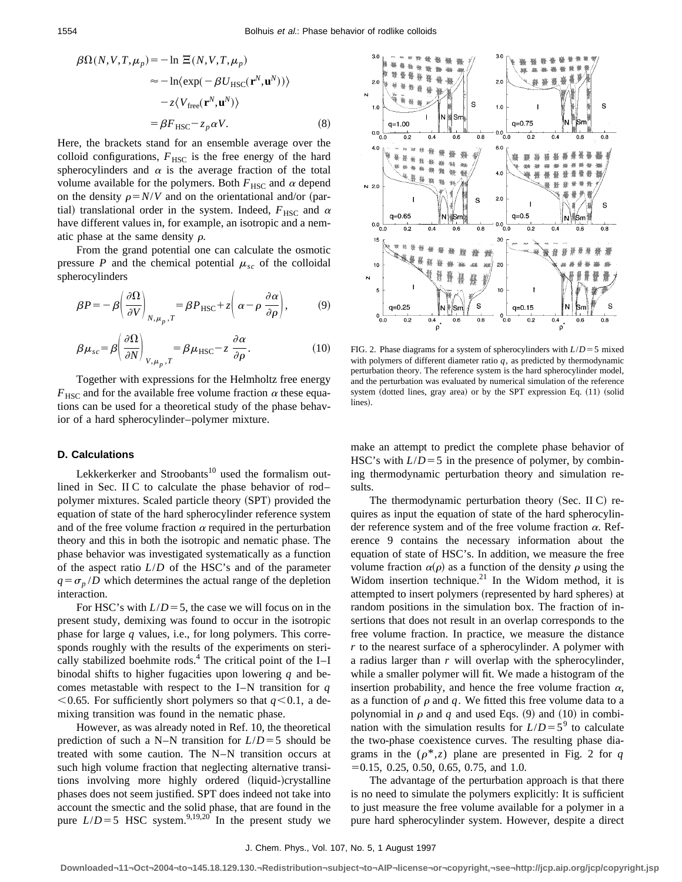$$
\beta \Omega(N, V, T, \mu_p) = -\ln \Xi(N, V, T, \mu_p)
$$
  
\n
$$
\approx -\ln(\exp(-\beta U_{\text{HSC}}(\mathbf{r}^N, \mathbf{u}^N)))
$$
  
\n
$$
-z \langle V_{\text{free}}(\mathbf{r}^N, \mathbf{u}^N) \rangle
$$
  
\n
$$
= \beta F_{\text{HSC}} - z_p \alpha V. \tag{8}
$$

Here, the brackets stand for an ensemble average over the colloid configurations,  $F_{HSC}$  is the free energy of the hard spherocylinders and  $\alpha$  is the average fraction of the total volume available for the polymers. Both  $F_{\text{HSC}}$  and  $\alpha$  depend on the density  $\rho = N/V$  and on the orientational and/or (partial) translational order in the system. Indeed,  $F_{\text{HSC}}$  and  $\alpha$ have different values in, for example, an isotropic and a nematic phase at the same density  $\rho$ .

From the grand potential one can calculate the osmotic pressure *P* and the chemical potential  $\mu_{sc}$  of the colloidal spherocylinders

$$
\beta P = -\beta \left( \frac{\partial \Omega}{\partial V} \right)_{N, \mu_p, T} = \beta P_{\text{HSC}} + z \left( \alpha - \rho \frac{\partial \alpha}{\partial \rho} \right), \tag{9}
$$

$$
\beta \mu_{sc} = \beta \left( \frac{\partial \Omega}{\partial N} \right)_{V, \mu_p, T} = \beta \mu_{HSC} - z \frac{\partial \alpha}{\partial \rho}.
$$
 (10)

Together with expressions for the Helmholtz free energy  $F_{\text{HSC}}$  and for the available free volume fraction  $\alpha$  these equations can be used for a theoretical study of the phase behavior of a hard spherocylinder–polymer mixture.

### **D. Calculations**

Lekkerkerker and Stroobants<sup>10</sup> used the formalism outlined in Sec. II C to calculate the phase behavior of rod– polymer mixtures. Scaled particle theory (SPT) provided the equation of state of the hard spherocylinder reference system and of the free volume fraction  $\alpha$  required in the perturbation theory and this in both the isotropic and nematic phase. The phase behavior was investigated systematically as a function of the aspect ratio *L*/*D* of the HSC's and of the parameter  $q = \sigma_p / D$  which determines the actual range of the depletion interaction.

For HSC's with  $L/D = 5$ , the case we will focus on in the present study, demixing was found to occur in the isotropic phase for large *q* values, i.e., for long polymers. This corresponds roughly with the results of the experiments on sterically stabilized boehmite rods. $4$  The critical point of the I–I binodal shifts to higher fugacities upon lowering *q* and becomes metastable with respect to the I–N transition for *q*  $<$ 0.65. For sufficiently short polymers so that  $q$  $<$ 0.1, a demixing transition was found in the nematic phase.

However, as was already noted in Ref. 10, the theoretical prediction of such a N–N transition for  $L/D = 5$  should be treated with some caution. The N–N transition occurs at such high volume fraction that neglecting alternative transitions involving more highly ordered (liquid-)crystalline phases does not seem justified. SPT does indeed not take into account the smectic and the solid phase, that are found in the pure  $L/D = 5$  HSC system.<sup>9,19,20</sup> In the present study we



FIG. 2. Phase diagrams for a system of spherocylinders with  $L/D = 5$  mixed with polymers of different diameter ratio  $q$ , as predicted by thermodynamic perturbation theory. The reference system is the hard spherocylinder model, and the perturbation was evaluated by numerical simulation of the reference system (dotted lines, gray area) or by the SPT expression Eq. (11) (solid lines).

make an attempt to predict the complete phase behavior of HSC's with  $L/D = 5$  in the presence of polymer, by combining thermodynamic perturbation theory and simulation results.

The thermodynamic perturbation theory (Sec. II C) requires as input the equation of state of the hard spherocylinder reference system and of the free volume fraction  $\alpha$ . Reference 9 contains the necessary information about the equation of state of HSC's. In addition, we measure the free volume fraction  $\alpha(\rho)$  as a function of the density  $\rho$  using the Widom insertion technique.<sup>21</sup> In the Widom method, it is attempted to insert polymers (represented by hard spheres) at random positions in the simulation box. The fraction of insertions that does not result in an overlap corresponds to the free volume fraction. In practice, we measure the distance *r* to the nearest surface of a spherocylinder. A polymer with a radius larger than *r* will overlap with the spherocylinder, while a smaller polymer will fit. We made a histogram of the insertion probability, and hence the free volume fraction  $\alpha$ , as a function of  $\rho$  and  $q$ . We fitted this free volume data to a polynomial in  $\rho$  and  $q$  and used Eqs. (9) and (10) in combination with the simulation results for  $L/D = 5^9$  to calculate the two-phase coexistence curves. The resulting phase diagrams in the  $(\rho^*, z)$  plane are presented in Fig. 2 for *q*  $=0.15, 0.25, 0.50, 0.65, 0.75,$  and 1.0.

The advantage of the perturbation approach is that there is no need to simulate the polymers explicitly: It is sufficient to just measure the free volume available for a polymer in a pure hard spherocylinder system. However, despite a direct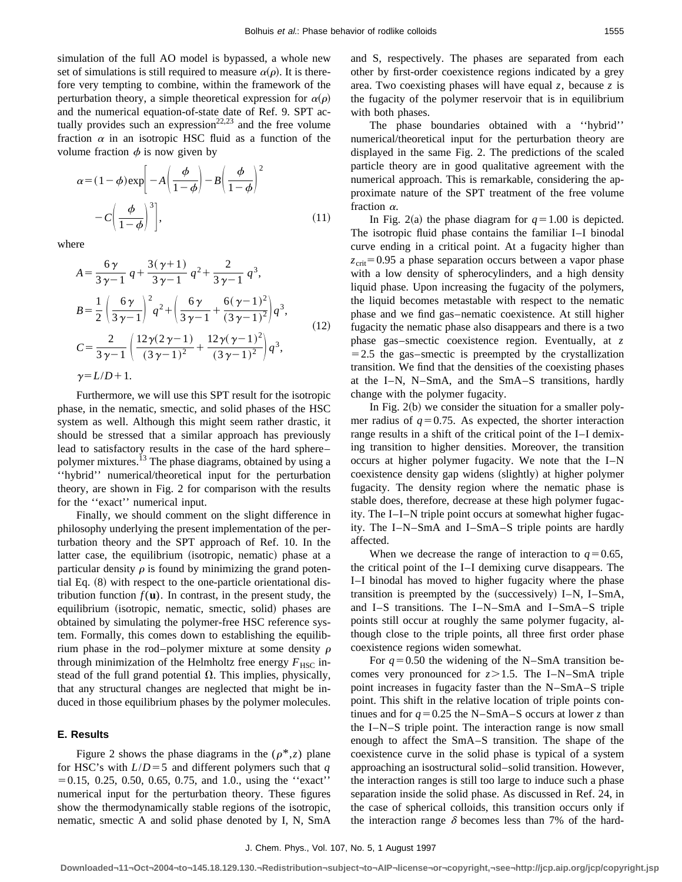simulation of the full AO model is bypassed, a whole new set of simulations is still required to measure  $\alpha(\rho)$ . It is therefore very tempting to combine, within the framework of the perturbation theory, a simple theoretical expression for  $\alpha(\rho)$ and the numerical equation-of-state date of Ref. 9. SPT actually provides such an expression<sup>22,23</sup> and the free volume fraction  $\alpha$  in an isotropic HSC fluid as a function of the volume fraction  $\phi$  is now given by

$$
\alpha = (1 - \phi) \exp\left[-A\left(\frac{\phi}{1 - \phi}\right) - B\left(\frac{\phi}{1 - \phi}\right)^2 - C\left(\frac{\phi}{1 - \phi}\right)^3\right],
$$
\n(11)

where

$$
A = \frac{6\gamma}{3\gamma - 1} q + \frac{3(\gamma + 1)}{3\gamma - 1} q^2 + \frac{2}{3\gamma - 1} q^3,
$$
  
\n
$$
B = \frac{1}{2} \left( \frac{6\gamma}{3\gamma - 1} \right)^2 q^2 + \left( \frac{6\gamma}{3\gamma - 1} + \frac{6(\gamma - 1)^2}{(3\gamma - 1)^2} \right) q^3,
$$
  
\n
$$
C = \frac{2}{3\gamma - 1} \left( \frac{12\gamma(2\gamma - 1)}{(3\gamma - 1)^2} + \frac{12\gamma(\gamma - 1)^2}{(3\gamma - 1)^2} \right) q^3,
$$
  
\n
$$
\gamma = L/D + 1.
$$
 (12)

Furthermore, we will use this SPT result for the isotropic phase, in the nematic, smectic, and solid phases of the HSC system as well. Although this might seem rather drastic, it should be stressed that a similar approach has previously lead to satisfactory results in the case of the hard sphere– polymer mixtures.<sup>13</sup> The phase diagrams, obtained by using a ''hybrid'' numerical/theoretical input for the perturbation theory, are shown in Fig. 2 for comparison with the results for the ''exact'' numerical input.

Finally, we should comment on the slight difference in philosophy underlying the present implementation of the perturbation theory and the SPT approach of Ref. 10. In the latter case, the equilibrium (isotropic, nematic) phase at a particular density  $\rho$  is found by minimizing the grand potential Eq.  $(8)$  with respect to the one-particle orientational distribution function  $f(\mathbf{u})$ . In contrast, in the present study, the equilibrium (isotropic, nematic, smectic, solid) phases are obtained by simulating the polymer-free HSC reference system. Formally, this comes down to establishing the equilibrium phase in the rod–polymer mixture at some density  $\rho$ through minimization of the Helmholtz free energy  $F_{\text{HSC}}$  instead of the full grand potential  $\Omega$ . This implies, physically, that any structural changes are neglected that might be induced in those equilibrium phases by the polymer molecules.

# **E. Results**

Figure 2 shows the phase diagrams in the  $(\rho^*, z)$  plane for HSC's with  $L/D = 5$  and different polymers such that *q*  $50.15$ , 0.25, 0.50, 0.65, 0.75, and 1.0., using the "exact" numerical input for the perturbation theory. These figures show the thermodynamically stable regions of the isotropic, nematic, smectic A and solid phase denoted by I, N, SmA and S, respectively. The phases are separated from each other by first-order coexistence regions indicated by a grey area. Two coexisting phases will have equal *z*, because *z* is the fugacity of the polymer reservoir that is in equilibrium with both phases.

The phase boundaries obtained with a ''hybrid'' numerical/theoretical input for the perturbation theory are displayed in the same Fig. 2. The predictions of the scaled particle theory are in good qualitative agreement with the numerical approach. This is remarkable, considering the approximate nature of the SPT treatment of the free volume fraction  $\alpha$ .

In Fig. 2(a) the phase diagram for  $q=1.00$  is depicted. The isotropic fluid phase contains the familiar I–I binodal curve ending in a critical point. At a fugacity higher than  $z_{\text{crit}}$ =0.95 a phase separation occurs between a vapor phase with a low density of spherocylinders, and a high density liquid phase. Upon increasing the fugacity of the polymers, the liquid becomes metastable with respect to the nematic phase and we find gas–nematic coexistence. At still higher fugacity the nematic phase also disappears and there is a two phase gas–smectic coexistence region. Eventually, at *z*  $=$  2.5 the gas–smectic is preempted by the crystallization transition. We find that the densities of the coexisting phases at the I–N, N–SmA, and the SmA–S transitions, hardly change with the polymer fugacity.

In Fig.  $2(b)$  we consider the situation for a smaller polymer radius of  $q=0.75$ . As expected, the shorter interaction range results in a shift of the critical point of the I–I demixing transition to higher densities. Moreover, the transition occurs at higher polymer fugacity. We note that the I–N coexistence density gap widens (slightly) at higher polymer fugacity. The density region where the nematic phase is stable does, therefore, decrease at these high polymer fugacity. The I–I–N triple point occurs at somewhat higher fugacity. The I–N–SmA and I–SmA–S triple points are hardly affected.

When we decrease the range of interaction to  $q=0.65$ , the critical point of the I–I demixing curve disappears. The I–I binodal has moved to higher fugacity where the phase transition is preempted by the (successively) I–N, I–SmA, and I–S transitions. The I–N–SmA and I–SmA–S triple points still occur at roughly the same polymer fugacity, although close to the triple points, all three first order phase coexistence regions widen somewhat.

For  $q=0.50$  the widening of the N–SmA transition becomes very pronounced for  $z > 1.5$ . The I–N–SmA triple point increases in fugacity faster than the N–SmA–S triple point. This shift in the relative location of triple points continues and for  $q=0.25$  the N–SmA–S occurs at lower *z* than the I–N–S triple point. The interaction range is now small enough to affect the SmA–S transition. The shape of the coexistence curve in the solid phase is typical of a system approaching an isostructural solid–solid transition. However, the interaction ranges is still too large to induce such a phase separation inside the solid phase. As discussed in Ref. 24, in the case of spherical colloids, this transition occurs only if the interaction range  $\delta$  becomes less than 7% of the hard-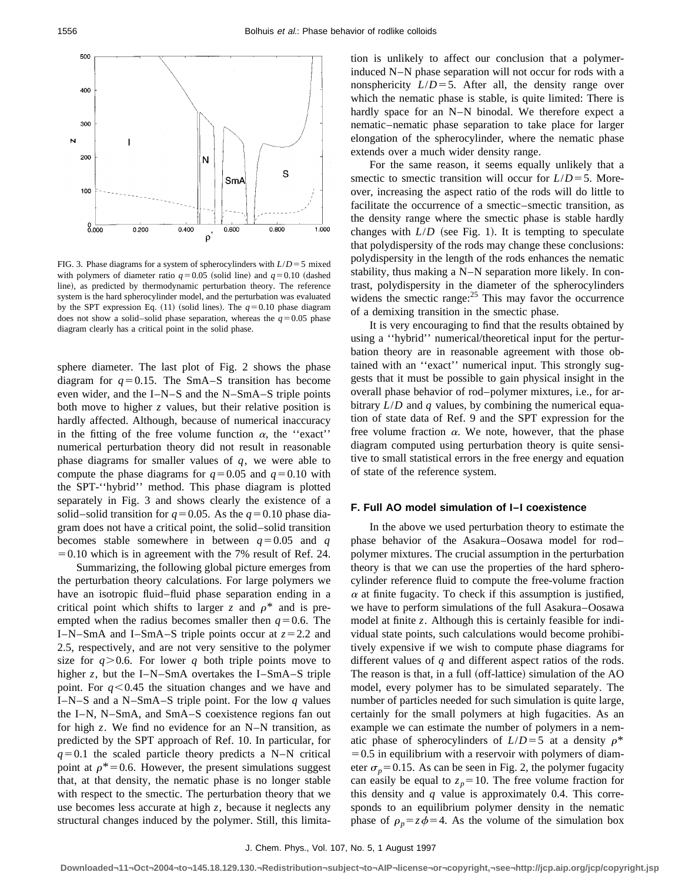

FIG. 3. Phase diagrams for a system of spherocylinders with  $L/D = 5$  mixed with polymers of diameter ratio  $q=0.05$  (solid line) and  $q=0.10$  (dashed line), as predicted by thermodynamic perturbation theory. The reference system is the hard spherocylinder model, and the perturbation was evaluated by the SPT expression Eq.  $(11)$  (solid lines). The  $q=0.10$  phase diagram does not show a solid–solid phase separation, whereas the  $q=0.05$  phase diagram clearly has a critical point in the solid phase.

sphere diameter. The last plot of Fig. 2 shows the phase diagram for  $q=0.15$ . The SmA–S transition has become even wider, and the I–N–S and the N–SmA–S triple points both move to higher *z* values, but their relative position is hardly affected. Although, because of numerical inaccuracy in the fitting of the free volume function  $\alpha$ , the "exact" numerical perturbation theory did not result in reasonable phase diagrams for smaller values of *q*, we were able to compute the phase diagrams for  $q=0.05$  and  $q=0.10$  with the SPT-''hybrid'' method. This phase diagram is plotted separately in Fig. 3 and shows clearly the existence of a solid–solid transition for  $q=0.05$ . As the  $q=0.10$  phase diagram does not have a critical point, the solid–solid transition becomes stable somewhere in between  $q=0.05$  and *q*  $=0.10$  which is in agreement with the 7% result of Ref. 24.

Summarizing, the following global picture emerges from the perturbation theory calculations. For large polymers we have an isotropic fluid–fluid phase separation ending in a critical point which shifts to larger *z* and  $\rho^*$  and is preempted when the radius becomes smaller then  $q=0.6$ . The I–N–SmA and I–SmA–S triple points occur at  $z=2.2$  and 2.5, respectively, and are not very sensitive to the polymer size for  $q > 0.6$ . For lower q both triple points move to higher *z*, but the I–N–SmA overtakes the I–SmA–S triple point. For  $q<0.45$  the situation changes and we have and I–N–S and a N–SmA–S triple point. For the low *q* values the I–N, N–SmA, and SmA–S coexistence regions fan out for high *z*. We find no evidence for an N–N transition, as predicted by the SPT approach of Ref. 10. In particular, for  $q=0.1$  the scaled particle theory predicts a N–N critical point at  $\rho^*=0.6$ . However, the present simulations suggest that, at that density, the nematic phase is no longer stable with respect to the smectic. The perturbation theory that we use becomes less accurate at high *z*, because it neglects any structural changes induced by the polymer. Still, this limitation is unlikely to affect our conclusion that a polymerinduced N–N phase separation will not occur for rods with a nonsphericity  $L/D = 5$ . After all, the density range over which the nematic phase is stable, is quite limited: There is hardly space for an N–N binodal. We therefore expect a nematic–nematic phase separation to take place for larger elongation of the spherocylinder, where the nematic phase extends over a much wider density range.

For the same reason, it seems equally unlikely that a smectic to smectic transition will occur for  $L/D = 5$ . Moreover, increasing the aspect ratio of the rods will do little to facilitate the occurrence of a smectic–smectic transition, as the density range where the smectic phase is stable hardly changes with  $L/D$  (see Fig. 1). It is tempting to speculate that polydispersity of the rods may change these conclusions: polydispersity in the length of the rods enhances the nematic stability, thus making a N–N separation more likely. In contrast, polydispersity in the diameter of the spherocylinders widens the smectic range: $25$  This may favor the occurrence of a demixing transition in the smectic phase.

It is very encouraging to find that the results obtained by using a ''hybrid'' numerical/theoretical input for the perturbation theory are in reasonable agreement with those obtained with an ''exact'' numerical input. This strongly suggests that it must be possible to gain physical insight in the overall phase behavior of rod–polymer mixtures, i.e., for arbitrary *L*/*D* and *q* values, by combining the numerical equation of state data of Ref. 9 and the SPT expression for the free volume fraction  $\alpha$ . We note, however, that the phase diagram computed using perturbation theory is quite sensitive to small statistical errors in the free energy and equation of state of the reference system.

# **F. Full AO model simulation of I–I coexistence**

In the above we used perturbation theory to estimate the phase behavior of the Asakura–Oosawa model for rod– polymer mixtures. The crucial assumption in the perturbation theory is that we can use the properties of the hard spherocylinder reference fluid to compute the free-volume fraction  $\alpha$  at finite fugacity. To check if this assumption is justified, we have to perform simulations of the full Asakura–Oosawa model at finite *z*. Although this is certainly feasible for individual state points, such calculations would become prohibitively expensive if we wish to compute phase diagrams for different values of *q* and different aspect ratios of the rods. The reason is that, in a full (off-lattice) simulation of the AO model, every polymer has to be simulated separately. The number of particles needed for such simulation is quite large, certainly for the small polymers at high fugacities. As an example we can estimate the number of polymers in a nematic phase of spherocylinders of  $L/D = 5$  at a density  $\rho^*$  $=0.5$  in equilibrium with a reservoir with polymers of diameter  $\sigma_p$ =0.15. As can be seen in Fig. 2, the polymer fugacity can easily be equal to  $z_p = 10$ . The free volume fraction for this density and *q* value is approximately 0.4. This corresponds to an equilibrium polymer density in the nematic phase of  $\rho_p = z\phi = 4$ . As the volume of the simulation box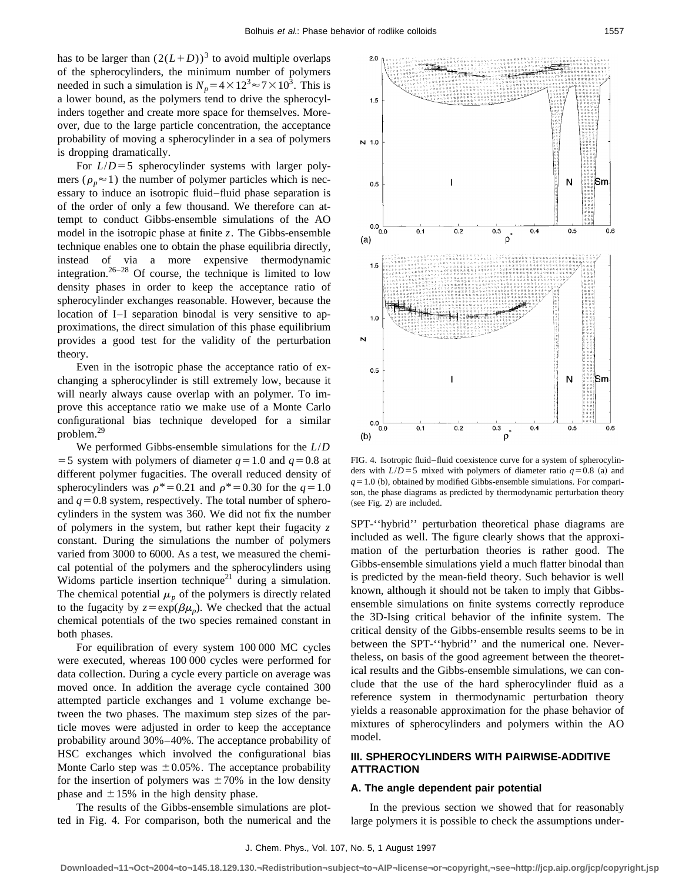$1.5$ 

has to be larger than  $(2(L+D))^3$  to avoid multiple overlaps of the spherocylinders, the minimum number of polymers needed in such a simulation is  $N_p = 4 \times 12^3 \approx 7 \times 10^3$ . This is a lower bound, as the polymers tend to drive the spherocylinders together and create more space for themselves. Moreover, due to the large particle concentration, the acceptance probability of moving a spherocylinder in a sea of polymers is dropping dramatically.

For  $L/D = 5$  spherocylinder systems with larger polymers ( $\rho_n \approx 1$ ) the number of polymer particles which is necessary to induce an isotropic fluid–fluid phase separation is of the order of only a few thousand. We therefore can attempt to conduct Gibbs-ensemble simulations of the AO model in the isotropic phase at finite *z*. The Gibbs-ensemble technique enables one to obtain the phase equilibria directly, instead of via a more expensive thermodynamic integration.26–28 Of course, the technique is limited to low density phases in order to keep the acceptance ratio of spherocylinder exchanges reasonable. However, because the location of I–I separation binodal is very sensitive to approximations, the direct simulation of this phase equilibrium provides a good test for the validity of the perturbation theory.

Even in the isotropic phase the acceptance ratio of exchanging a spherocylinder is still extremely low, because it will nearly always cause overlap with an polymer. To improve this acceptance ratio we make use of a Monte Carlo configurational bias technique developed for a similar problem.<sup>29</sup>

We performed Gibbs-ensemble simulations for the *L*/*D*  $=$  5 system with polymers of diameter  $q=1.0$  and  $q=0.8$  at different polymer fugacities. The overall reduced density of spherocylinders was  $\rho^*$  = 0.21 and  $\rho^*$  = 0.30 for the  $q=1.0$ and  $q=0.8$  system, respectively. The total number of spherocylinders in the system was 360. We did not fix the number of polymers in the system, but rather kept their fugacity *z* constant. During the simulations the number of polymers varied from 3000 to 6000. As a test, we measured the chemical potential of the polymers and the spherocylinders using Widoms particle insertion technique<sup>21</sup> during a simulation. The chemical potential  $\mu_p$  of the polymers is directly related to the fugacity by  $z = \exp(\beta \mu_n)$ . We checked that the actual chemical potentials of the two species remained constant in both phases.

For equilibration of every system 100 000 MC cycles were executed, whereas 100 000 cycles were performed for data collection. During a cycle every particle on average was moved once. In addition the average cycle contained 300 attempted particle exchanges and 1 volume exchange between the two phases. The maximum step sizes of the particle moves were adjusted in order to keep the acceptance probability around 30%–40%. The acceptance probability of HSC exchanges which involved the configurational bias Monte Carlo step was  $\pm 0.05\%$ . The acceptance probability for the insertion of polymers was  $\pm 70\%$  in the low density phase and  $\pm 15\%$  in the high density phase.

The results of the Gibbs-ensemble simulations are plotted in Fig. 4. For comparison, both the numerical and the



FIG. 4. Isotropic fluid–fluid coexistence curve for a system of spherocylinders with  $L/D = 5$  mixed with polymers of diameter ratio  $q=0.8$  (a) and  $q=1.0$  (b), obtained by modified Gibbs-ensemble simulations. For comparison, the phase diagrams as predicted by thermodynamic perturbation theory  $(see Fig. 2) are included.$ 

SPT-''hybrid'' perturbation theoretical phase diagrams are included as well. The figure clearly shows that the approximation of the perturbation theories is rather good. The Gibbs-ensemble simulations yield a much flatter binodal than is predicted by the mean-field theory. Such behavior is well known, although it should not be taken to imply that Gibbsensemble simulations on finite systems correctly reproduce the 3D-Ising critical behavior of the infinite system. The critical density of the Gibbs-ensemble results seems to be in between the SPT-''hybrid'' and the numerical one. Nevertheless, on basis of the good agreement between the theoretical results and the Gibbs-ensemble simulations, we can conclude that the use of the hard spherocylinder fluid as a reference system in thermodynamic perturbation theory yields a reasonable approximation for the phase behavior of mixtures of spherocylinders and polymers within the AO model.

# **III. SPHEROCYLINDERS WITH PAIRWISE-ADDITIVE ATTRACTION**

# **A. The angle dependent pair potential**

In the previous section we showed that for reasonably large polymers it is possible to check the assumptions under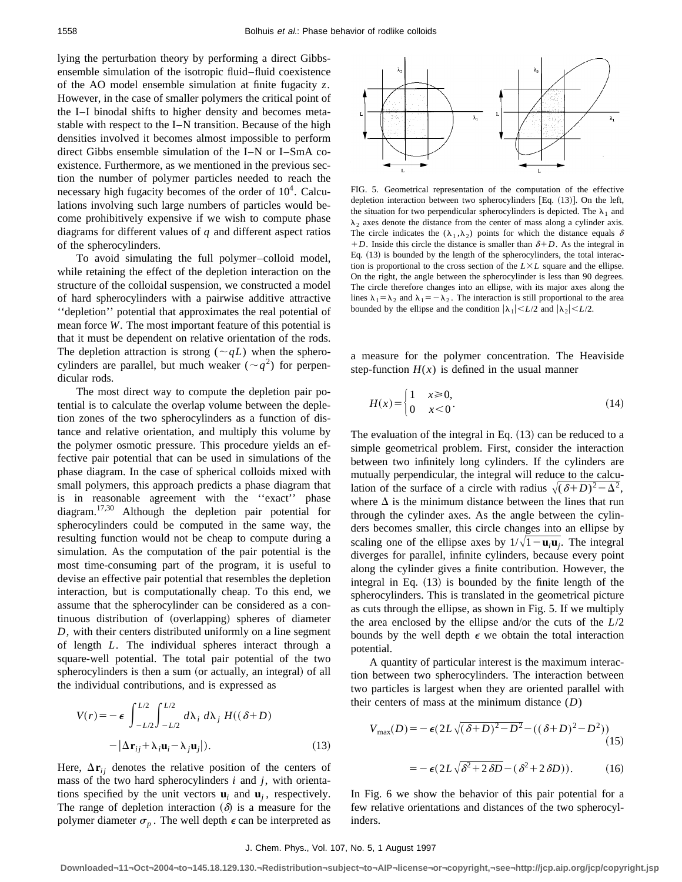lying the perturbation theory by performing a direct Gibbsensemble simulation of the isotropic fluid–fluid coexistence of the AO model ensemble simulation at finite fugacity *z*. However, in the case of smaller polymers the critical point of the I–I binodal shifts to higher density and becomes metastable with respect to the I–N transition. Because of the high densities involved it becomes almost impossible to perform direct Gibbs ensemble simulation of the I–N or I–SmA coexistence. Furthermore, as we mentioned in the previous section the number of polymer particles needed to reach the necessary high fugacity becomes of the order of  $10<sup>4</sup>$ . Calculations involving such large numbers of particles would become prohibitively expensive if we wish to compute phase diagrams for different values of *q* and different aspect ratios of the spherocylinders.

To avoid simulating the full polymer–colloid model, while retaining the effect of the depletion interaction on the structure of the colloidal suspension, we constructed a model of hard spherocylinders with a pairwise additive attractive ''depletion'' potential that approximates the real potential of mean force *W*. The most important feature of this potential is that it must be dependent on relative orientation of the rods. The depletion attraction is strong ( $\neg qL$ ) when the spherocylinders are parallel, but much weaker  $({\sim}q^2)$  for perpendicular rods.

The most direct way to compute the depletion pair potential is to calculate the overlap volume between the depletion zones of the two spherocylinders as a function of distance and relative orientation, and multiply this volume by the polymer osmotic pressure. This procedure yields an effective pair potential that can be used in simulations of the phase diagram. In the case of spherical colloids mixed with small polymers, this approach predicts a phase diagram that is in reasonable agreement with the ''exact'' phase diagram.17,30 Although the depletion pair potential for spherocylinders could be computed in the same way, the resulting function would not be cheap to compute during a simulation. As the computation of the pair potential is the most time-consuming part of the program, it is useful to devise an effective pair potential that resembles the depletion interaction, but is computationally cheap. To this end, we assume that the spherocylinder can be considered as a continuous distribution of (overlapping) spheres of diameter *D*, with their centers distributed uniformly on a line segment of length *L*. The individual spheres interact through a square-well potential. The total pair potential of the two spherocylinders is then a sum (or actually, an integral) of all the individual contributions, and is expressed as

$$
V(r) = -\epsilon \int_{-L/2}^{L/2} \int_{-L/2}^{L/2} d\lambda_i \ d\lambda_j \ H((\delta + D) - |\Delta \mathbf{r}_{ij} + \lambda_i \mathbf{u}_i - \lambda_j \mathbf{u}_j|). \tag{13}
$$

Here,  $\Delta \mathbf{r}_{ij}$  denotes the relative position of the centers of mass of the two hard spherocylinders *i* and *j*, with orientations specified by the unit vectors  $\mathbf{u}_i$  and  $\mathbf{u}_j$ , respectively. The range of depletion interaction  $(\delta)$  is a measure for the polymer diameter  $\sigma_p$ . The well depth  $\epsilon$  can be interpreted as



FIG. 5. Geometrical representation of the computation of the effective depletion interaction between two spherocylinders  $[Eq. (13)]$ . On the left, the situation for two perpendicular spherocylinders is depicted. The  $\lambda_1$  and  $\lambda_2$  axes denote the distance from the center of mass along a cylinder axis. The circle indicates the  $(\lambda_1, \lambda_2)$  points for which the distance equals  $\delta$  $+D$ . Inside this circle the distance is smaller than  $\delta + D$ . As the integral in Eq.  $(13)$  is bounded by the length of the spherocylinders, the total interaction is proportional to the cross section of the  $L \times L$  square and the ellipse. On the right, the angle between the spherocylinder is less than 90 degrees. The circle therefore changes into an ellipse, with its major axes along the lines  $\lambda_1 = \lambda_2$  and  $\lambda_1 = -\lambda_2$ . The interaction is still proportional to the area bounded by the ellipse and the condition  $|\lambda_1|$  < *L*/2 and  $|\lambda_2|$  < *L*/2.

a measure for the polymer concentration. The Heaviside step-function  $H(x)$  is defined in the usual manner

$$
H(x) = \begin{cases} 1 & x \ge 0, \\ 0 & x < 0 \end{cases} \tag{14}
$$

The evaluation of the integral in Eq.  $(13)$  can be reduced to a simple geometrical problem. First, consider the interaction between two infinitely long cylinders. If the cylinders are mutually perpendicular, the integral will reduce to the calculation of the surface of a circle with radius  $\sqrt{(\delta+D)^2 - \Delta^2}$ , where  $\Delta$  is the minimum distance between the lines that run through the cylinder axes. As the angle between the cylinders becomes smaller, this circle changes into an ellipse by scaling one of the ellipse axes by  $1/\sqrt{1-\mathbf{u}_i\mathbf{u}_i}$ . The integral diverges for parallel, infinite cylinders, because every point along the cylinder gives a finite contribution. However, the integral in Eq.  $(13)$  is bounded by the finite length of the spherocylinders. This is translated in the geometrical picture as cuts through the ellipse, as shown in Fig. 5. If we multiply the area enclosed by the ellipse and/or the cuts of the *L*/2 bounds by the well depth  $\epsilon$  we obtain the total interaction potential.

A quantity of particular interest is the maximum interaction between two spherocylinders. The interaction between two particles is largest when they are oriented parallel with their centers of mass at the minimum distance (*D*)

$$
V_{\text{max}}(D) = -\epsilon (2L\sqrt{(\delta + D)^2 - D^2} - ((\delta + D)^2 - D^2))
$$
\n(15)

$$
= -\epsilon (2L\sqrt{\delta^2 + 2\delta D} - (\delta^2 + 2\delta D)). \tag{16}
$$

In Fig. 6 we show the behavior of this pair potential for a few relative orientations and distances of the two spherocylinders.

#### J. Chem. Phys., Vol. 107, No. 5, 1 August 1997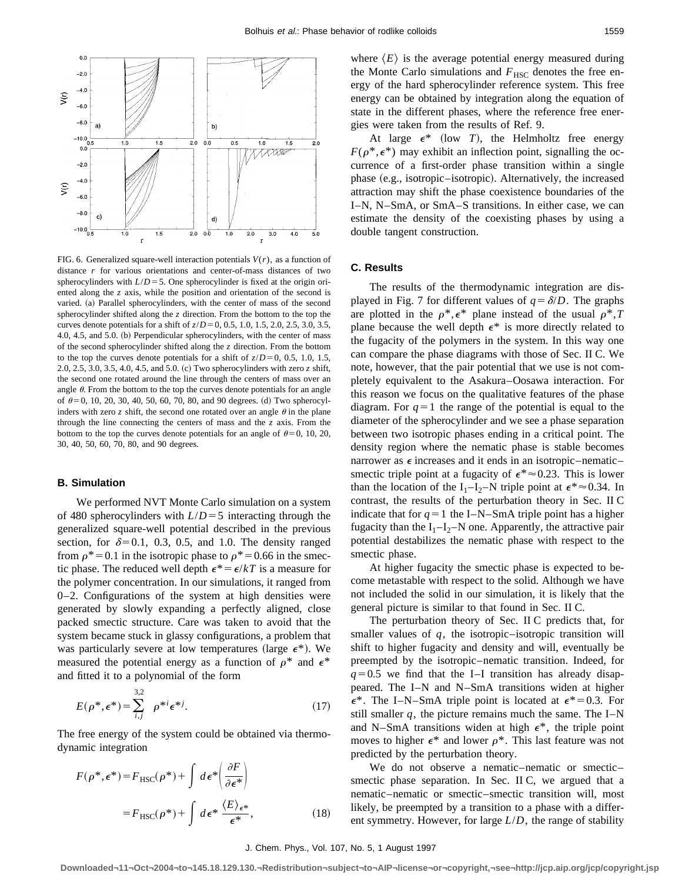

FIG. 6. Generalized square-well interaction potentials *V*(*r*), as a function of distance *r* for various orientations and center-of-mass distances of two spherocylinders with  $L/D = 5$ . One spherocylinder is fixed at the origin oriented along the *z* axis, while the position and orientation of the second is varied. (a) Parallel spherocylinders, with the center of mass of the second spherocylinder shifted along the *z* direction. From the bottom to the top the curves denote potentials for a shift of  $z/D=0$ , 0.5, 1.0, 1.5, 2.0, 2.5, 3.0, 3.5, 4.0, 4.5, and 5.0. (b) Perpendicular spherocylinders, with the center of mass of the second spherocylinder shifted along the *z* direction. From the bottom to the top the curves denote potentials for a shift of  $z/D=0$ , 0.5, 1.0, 1.5, 2.0, 2.5, 3.0, 3.5, 4.0, 4.5, and 5.0. (c) Two spherocylinders with zero *z* shift, the second one rotated around the line through the centers of mass over an angle  $\theta$ . From the bottom to the top the curves denote potentials for an angle of  $\theta = 0$ , 10, 20, 30, 40, 50, 60, 70, 80, and 90 degrees. (d) Two spherocylinders with zero *z* shift, the second one rotated over an angle  $\theta$  in the plane through the line connecting the centers of mass and the *z* axis. From the bottom to the top the curves denote potentials for an angle of  $\theta=0$ , 10, 20, 30, 40, 50, 60, 70, 80, and 90 degrees.

### **B. Simulation**

We performed NVT Monte Carlo simulation on a system of 480 spherocylinders with  $L/D = 5$  interacting through the generalized square-well potential described in the previous section, for  $\delta$ =0.1, 0.3, 0.5, and 1.0. The density ranged from  $\rho^*=0.1$  in the isotropic phase to  $\rho^*=0.66$  in the smectic phase. The reduced well depth  $\epsilon^* = \epsilon/kT$  is a measure for the polymer concentration. In our simulations, it ranged from 0–2. Configurations of the system at high densities were generated by slowly expanding a perfectly aligned, close packed smectic structure. Care was taken to avoid that the system became stuck in glassy configurations, a problem that was particularly severe at low temperatures (large  $\epsilon^*$ ). We measured the potential energy as a function of  $\rho^*$  and  $\epsilon^*$ and fitted it to a polynomial of the form

$$
E(\rho^*, \epsilon^*) = \sum_{i,j}^{3,2} \rho^{*i} \epsilon^{*j}.
$$
 (17)

The free energy of the system could be obtained via thermodynamic integration

$$
F(\rho^*, \epsilon^*) = F_{\text{HSC}}(\rho^*) + \int d\epsilon^* \left(\frac{\partial F}{\partial \epsilon^*}\right)
$$

$$
= F_{\text{HSC}}(\rho^*) + \int d\epsilon^* \frac{\langle E \rangle_{\epsilon^*}}{\epsilon^*}, \qquad (18)
$$

where  $\langle E \rangle$  is the average potential energy measured during the Monte Carlo simulations and  $F_{HSC}$  denotes the free energy of the hard spherocylinder reference system. This free energy can be obtained by integration along the equation of state in the different phases, where the reference free energies were taken from the results of Ref. 9.

At large  $\epsilon^*$  (low *T*), the Helmholtz free energy  $F(\rho^*, \epsilon^*)$  may exhibit an inflection point, signalling the occurrence of a first-order phase transition within a single phase (e.g., isotropic–isotropic). Alternatively, the increased attraction may shift the phase coexistence boundaries of the I–N, N–SmA, or SmA–S transitions. In either case, we can estimate the density of the coexisting phases by using a double tangent construction.

# **C. Results**

The results of the thermodynamic integration are displayed in Fig. 7 for different values of  $q = \delta/D$ . The graphs are plotted in the  $\rho^*, \epsilon^*$  plane instead of the usual  $\rho^*, T$ plane because the well depth  $\epsilon^*$  is more directly related to the fugacity of the polymers in the system. In this way one can compare the phase diagrams with those of Sec. II C. We note, however, that the pair potential that we use is not completely equivalent to the Asakura–Oosawa interaction. For this reason we focus on the qualitative features of the phase diagram. For  $q=1$  the range of the potential is equal to the diameter of the spherocylinder and we see a phase separation between two isotropic phases ending in a critical point. The density region where the nematic phase is stable becomes narrower as  $\epsilon$  increases and it ends in an isotropic–nematic– smectic triple point at a fugacity of  $\epsilon^* \approx 0.23$ . This is lower than the location of the I<sub>1</sub>–I<sub>2</sub>–N triple point at  $\epsilon^* \approx 0.34$ . In contrast, the results of the perturbation theory in Sec. II C indicate that for  $q=1$  the I–N–SmA triple point has a higher fugacity than the  $I_1-I_2-N$  one. Apparently, the attractive pair potential destabilizes the nematic phase with respect to the smectic phase.

At higher fugacity the smectic phase is expected to become metastable with respect to the solid. Although we have not included the solid in our simulation, it is likely that the general picture is similar to that found in Sec. II C.

The perturbation theory of Sec. II C predicts that, for smaller values of *q*, the isotropic–isotropic transition will shift to higher fugacity and density and will, eventually be preempted by the isotropic–nematic transition. Indeed, for  $q=0.5$  we find that the I–I transition has already disappeared. The I–N and N–SmA transitions widen at higher  $\epsilon^*$ . The I–N–SmA triple point is located at  $\epsilon^*=0.3$ . For still smaller  $q$ , the picture remains much the same. The I–N and N–SmA transitions widen at high  $\epsilon^*$ , the triple point moves to higher  $\epsilon^*$  and lower  $\rho^*$ . This last feature was not predicted by the perturbation theory.

We do not observe a nematic–nematic or smectic– smectic phase separation. In Sec. II C, we argued that a nematic–nematic or smectic–smectic transition will, most likely, be preempted by a transition to a phase with a different symmetry. However, for large *L*/*D*, the range of stability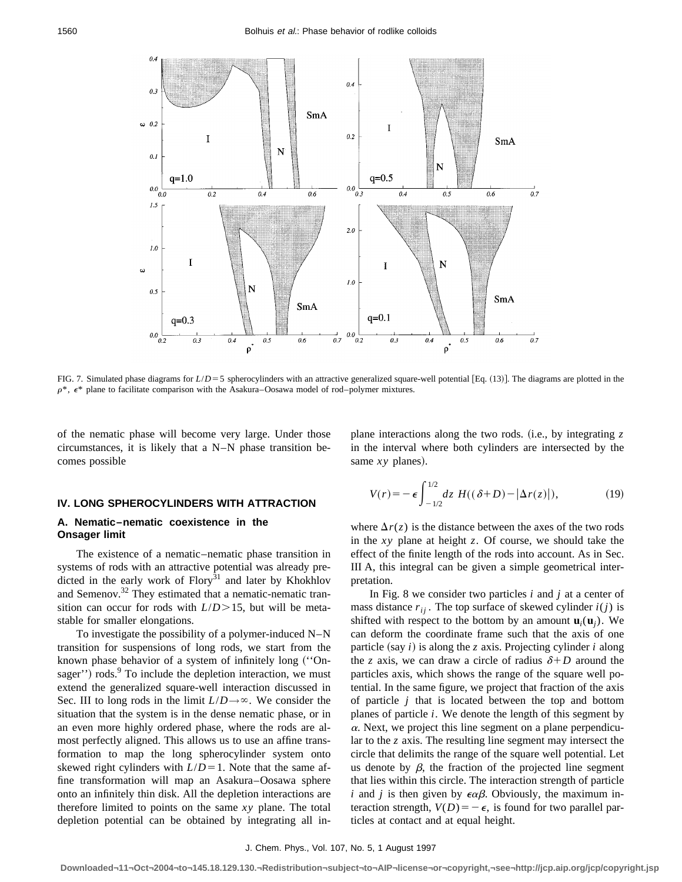

FIG. 7. Simulated phase diagrams for  $L/D = 5$  spherocylinders with an attractive generalized square-well potential [Eq.  $(13)$ ]. The diagrams are plotted in the  $\rho^*$ ,  $\epsilon^*$  plane to facilitate comparison with the Asakura–Oosawa model of rod–polymer mixtures.

of the nematic phase will become very large. Under those circumstances, it is likely that a N–N phase transition becomes possible

# plane interactions along the two rods.  $(i.e., by integrating z)$ in the interval where both cylinders are intersected by the same *xy* planes).

# **IV. LONG SPHEROCYLINDERS WITH ATTRACTION**

# **A. Nematic–nematic coexistence in the Onsager limit**

The existence of a nematic–nematic phase transition in systems of rods with an attractive potential was already predicted in the early work of  $Flory<sup>31</sup>$  and later by Khokhlov and Semenov.<sup>32</sup> They estimated that a nematic-nematic transition can occur for rods with  $L/D$  > 15, but will be metastable for smaller elongations.

To investigate the possibility of a polymer-induced N–N transition for suspensions of long rods, we start from the known phase behavior of a system of infinitely long ("Onsager'') rods.<sup>9</sup> To include the depletion interaction, we must extend the generalized square-well interaction discussed in Sec. III to long rods in the limit  $L/D \rightarrow \infty$ . We consider the situation that the system is in the dense nematic phase, or in an even more highly ordered phase, where the rods are almost perfectly aligned. This allows us to use an affine transformation to map the long spherocylinder system onto skewed right cylinders with  $L/D = 1$ . Note that the same affine transformation will map an Asakura–Oosawa sphere onto an infinitely thin disk. All the depletion interactions are therefore limited to points on the same *xy* plane. The total depletion potential can be obtained by integrating all in-

$$
V(r) = -\epsilon \int_{-1/2}^{1/2} dz \ H((\delta + D) - |\Delta r(z)|), \tag{19}
$$
  
where  $\Delta r(z)$  is the distance between the axes of the two rods  
in the sum above at height  $\epsilon$ . Of course, we should take the

in the *xy* plane at height *z*. Of course, we should take the effect of the finite length of the rods into account. As in Sec. III A, this integral can be given a simple geometrical interpretation.

In Fig. 8 we consider two particles *i* and *j* at a center of mass distance  $r_{ii}$ . The top surface of skewed cylinder  $i(j)$  is shifted with respect to the bottom by an amount  $\mathbf{u}_i(\mathbf{u}_i)$ . We can deform the coordinate frame such that the axis of one particle (say  $i$ ) is along the *z* axis. Projecting cylinder  $i$  along the *z* axis, we can draw a circle of radius  $\delta + D$  around the particles axis, which shows the range of the square well potential. In the same figure, we project that fraction of the axis of particle *j* that is located between the top and bottom planes of particle *i*. We denote the length of this segment by  $\alpha$ . Next, we project this line segment on a plane perpendicular to the *z* axis. The resulting line segment may intersect the circle that delimits the range of the square well potential. Let us denote by  $\beta$ , the fraction of the projected line segment that lies within this circle. The interaction strength of particle *i* and *j* is then given by  $\epsilon \alpha \beta$ . Obviously, the maximum interaction strength,  $V(D) = -\epsilon$ , is found for two parallel particles at contact and at equal height.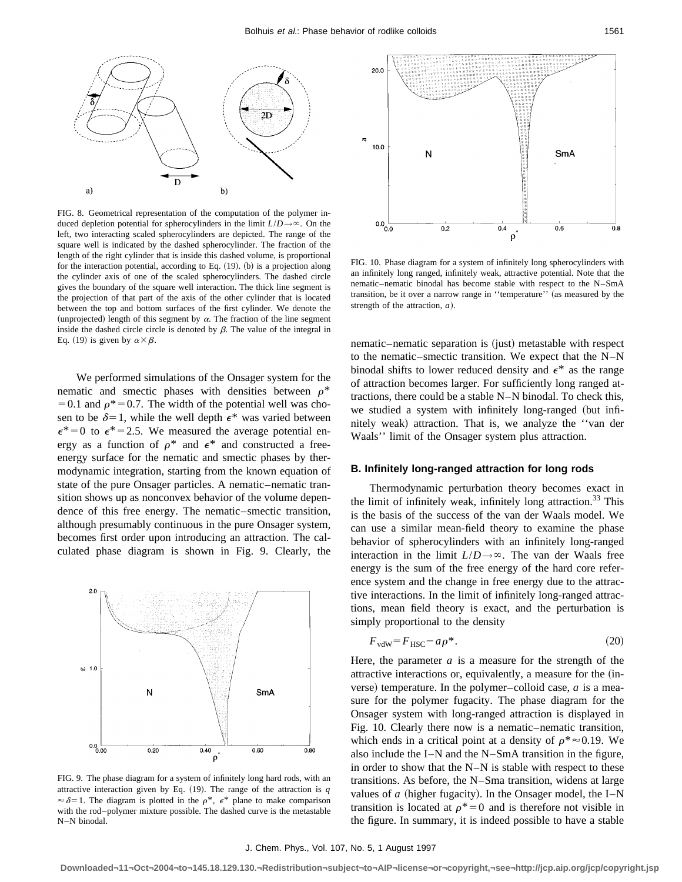

FIG. 8. Geometrical representation of the computation of the polymer induced depletion potential for spherocylinders in the limit  $L/D \rightarrow \infty$ . On the left, two interacting scaled spherocylinders are depicted. The range of the square well is indicated by the dashed spherocylinder. The fraction of the length of the right cylinder that is inside this dashed volume, is proportional for the interaction potential, according to Eq.  $(19)$ .  $(b)$  is a projection along the cylinder axis of one of the scaled spherocylinders. The dashed circle gives the boundary of the square well interaction. The thick line segment is the projection of that part of the axis of the other cylinder that is located between the top and bottom surfaces of the first cylinder. We denote the (unprojected) length of this segment by  $\alpha$ . The fraction of the line segment inside the dashed circle circle is denoted by  $\beta$ . The value of the integral in Eq. (19) is given by  $\alpha \times \beta$ .

We performed simulations of the Onsager system for the nematic and smectic phases with densities between  $\rho^*$ = 0.1 and  $\rho$ \* = 0.7. The width of the potential well was chosen to be  $\delta=1$ , while the well depth  $\epsilon^*$  was varied between  $\epsilon^*=0$  to  $\epsilon^*=2.5$ . We measured the average potential energy as a function of  $\rho^*$  and  $\epsilon^*$  and constructed a freeenergy surface for the nematic and smectic phases by thermodynamic integration, starting from the known equation of state of the pure Onsager particles. A nematic–nematic transition shows up as nonconvex behavior of the volume dependence of this free energy. The nematic–smectic transition, although presumably continuous in the pure Onsager system, becomes first order upon introducing an attraction. The calculated phase diagram is shown in Fig. 9. Clearly, the



FIG. 9. The phase diagram for a system of infinitely long hard rods, with an attractive interaction given by Eq.  $(19)$ . The range of the attraction is *q*  $\approx \delta = 1$ . The diagram is plotted in the  $\rho^*$ ,  $\epsilon^*$  plane to make comparison with the rod–polymer mixture possible. The dashed curve is the metastable N–N binodal.



FIG. 10. Phase diagram for a system of infinitely long spherocylinders with an infinitely long ranged, infinitely weak, attractive potential. Note that the nematic–nematic binodal has become stable with respect to the N–SmA transition, be it over a narrow range in "temperature" (as measured by the strength of the attraction, *a*).

nematic–nematic separation is (just) metastable with respect to the nematic–smectic transition. We expect that the N–N binodal shifts to lower reduced density and  $\epsilon^*$  as the range of attraction becomes larger. For sufficiently long ranged attractions, there could be a stable N–N binodal. To check this, we studied a system with infinitely long-ranged (but infinitely weak) attraction. That is, we analyze the "van der Waals'' limit of the Onsager system plus attraction.

#### **B. Infinitely long-ranged attraction for long rods**

Thermodynamic perturbation theory becomes exact in the limit of infinitely weak, infinitely long attraction. $33$  This is the basis of the success of the van der Waals model. We can use a similar mean-field theory to examine the phase behavior of spherocylinders with an infinitely long-ranged interaction in the limit  $L/D \rightarrow \infty$ . The van der Waals free energy is the sum of the free energy of the hard core reference system and the change in free energy due to the attractive interactions. In the limit of infinitely long-ranged attractions, mean field theory is exact, and the perturbation is simply proportional to the density

$$
F_{\text{vdW}} = F_{\text{HSC}} - a\rho^*.\tag{20}
$$

Here, the parameter *a* is a measure for the strength of the attractive interactions or, equivalently, a measure for the (inverse) temperature. In the polymer–colloid case,  $a$  is a measure for the polymer fugacity. The phase diagram for the Onsager system with long-ranged attraction is displayed in Fig. 10. Clearly there now is a nematic–nematic transition, which ends in a critical point at a density of  $\rho^* \approx 0.19$ . We also include the I–N and the N–SmA transition in the figure, in order to show that the N–N is stable with respect to these transitions. As before, the N–Sma transition, widens at large values of  $a$  (higher fugacity). In the Onsager model, the I–N transition is located at  $\rho^*=0$  and is therefore not visible in the figure. In summary, it is indeed possible to have a stable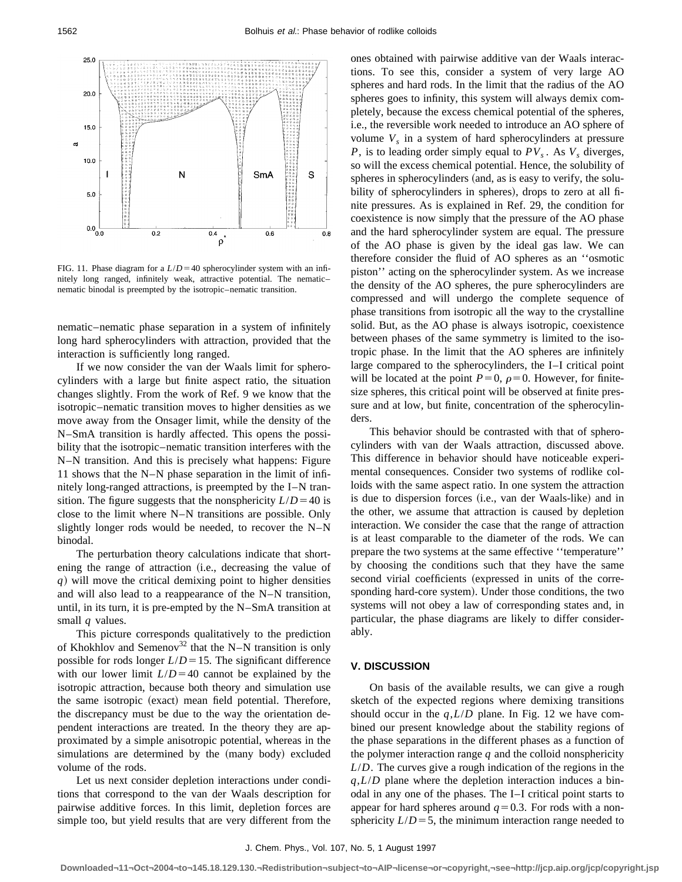

FIG. 11. Phase diagram for a  $L/D = 40$  spherocylinder system with an infinitely long ranged, infinitely weak, attractive potential. The nematic– nematic binodal is preempted by the isotropic–nematic transition.

nematic–nematic phase separation in a system of infinitely long hard spherocylinders with attraction, provided that the interaction is sufficiently long ranged.

If we now consider the van der Waals limit for spherocylinders with a large but finite aspect ratio, the situation changes slightly. From the work of Ref. 9 we know that the isotropic–nematic transition moves to higher densities as we move away from the Onsager limit, while the density of the N–SmA transition is hardly affected. This opens the possibility that the isotropic–nematic transition interferes with the N–N transition. And this is precisely what happens: Figure 11 shows that the N–N phase separation in the limit of infinitely long-ranged attractions, is preempted by the I–N transition. The figure suggests that the nonsphericity  $L/D = 40$  is close to the limit where N–N transitions are possible. Only slightly longer rods would be needed, to recover the N–N binodal.

The perturbation theory calculations indicate that shortening the range of attraction (i.e., decreasing the value of *q*! will move the critical demixing point to higher densities and will also lead to a reappearance of the N–N transition, until, in its turn, it is pre-empted by the N–SmA transition at small *q* values.

This picture corresponds qualitatively to the prediction of Khokhlov and Semenov<sup>32</sup> that the N–N transition is only possible for rods longer  $L/D = 15$ . The significant difference with our lower limit  $L/D = 40$  cannot be explained by the isotropic attraction, because both theory and simulation use the same isotropic (exact) mean field potential. Therefore, the discrepancy must be due to the way the orientation dependent interactions are treated. In the theory they are approximated by a simple anisotropic potential, whereas in the simulations are determined by the (many body) excluded volume of the rods.

Let us next consider depletion interactions under conditions that correspond to the van der Waals description for pairwise additive forces. In this limit, depletion forces are simple too, but yield results that are very different from the ones obtained with pairwise additive van der Waals interactions. To see this, consider a system of very large AO spheres and hard rods. In the limit that the radius of the AO spheres goes to infinity, this system will always demix completely, because the excess chemical potential of the spheres, i.e., the reversible work needed to introduce an AO sphere of volume  $V<sub>s</sub>$  in a system of hard spherocylinders at pressure *P*, is to leading order simply equal to  $PV_s$ . As  $V_s$  diverges, so will the excess chemical potential. Hence, the solubility of spheres in spherocylinders (and, as is easy to verify, the solubility of spherocylinders in spheres), drops to zero at all finite pressures. As is explained in Ref. 29, the condition for coexistence is now simply that the pressure of the AO phase and the hard spherocylinder system are equal. The pressure of the AO phase is given by the ideal gas law. We can therefore consider the fluid of AO spheres as an ''osmotic piston'' acting on the spherocylinder system. As we increase the density of the AO spheres, the pure spherocylinders are compressed and will undergo the complete sequence of phase transitions from isotropic all the way to the crystalline solid. But, as the AO phase is always isotropic, coexistence between phases of the same symmetry is limited to the isotropic phase. In the limit that the AO spheres are infinitely large compared to the spherocylinders, the I–I critical point will be located at the point  $P=0$ ,  $\rho=0$ . However, for finitesize spheres, this critical point will be observed at finite pressure and at low, but finite, concentration of the spherocylinders.

This behavior should be contrasted with that of spherocylinders with van der Waals attraction, discussed above. This difference in behavior should have noticeable experimental consequences. Consider two systems of rodlike colloids with the same aspect ratio. In one system the attraction is due to dispersion forces (i.e., van der Waals-like) and in the other, we assume that attraction is caused by depletion interaction. We consider the case that the range of attraction is at least comparable to the diameter of the rods. We can prepare the two systems at the same effective ''temperature'' by choosing the conditions such that they have the same second virial coefficients (expressed in units of the corresponding hard-core system). Under those conditions, the two systems will not obey a law of corresponding states and, in particular, the phase diagrams are likely to differ considerably.

### **V. DISCUSSION**

On basis of the available results, we can give a rough sketch of the expected regions where demixing transitions should occur in the  $q$ , $L/D$  plane. In Fig. 12 we have combined our present knowledge about the stability regions of the phase separations in the different phases as a function of the polymer interaction range *q* and the colloid nonsphericity *L*/*D*. The curves give a rough indication of the regions in the *q*,*L*/*D* plane where the depletion interaction induces a binodal in any one of the phases. The I–I critical point starts to appear for hard spheres around  $q=0.3$ . For rods with a nonsphericity  $L/D = 5$ , the minimum interaction range needed to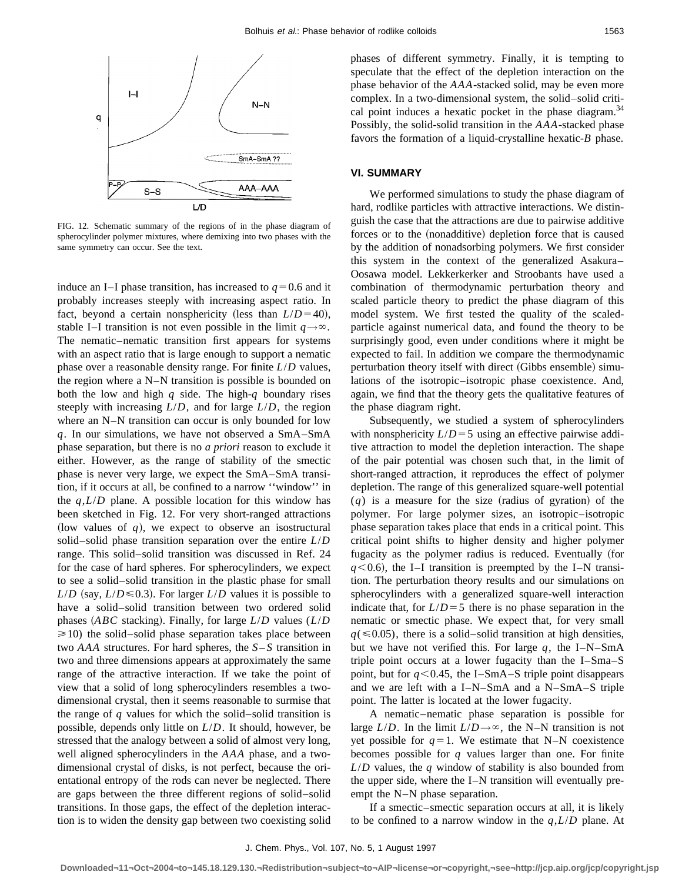

FIG. 12. Schematic summary of the regions of in the phase diagram of spherocylinder polymer mixtures, where demixing into two phases with the same symmetry can occur. See the text.

induce an I–I phase transition, has increased to  $q=0.6$  and it probably increases steeply with increasing aspect ratio. In fact, beyond a certain nonsphericity (less than  $L/D = 40$ ), stable I–I transition is not even possible in the limit  $q \rightarrow \infty$ . The nematic–nematic transition first appears for systems with an aspect ratio that is large enough to support a nematic phase over a reasonable density range. For finite *L*/*D* values, the region where a N–N transition is possible is bounded on both the low and high *q* side. The high-*q* boundary rises steeply with increasing *L*/*D*, and for large *L*/*D*, the region where an N–N transition can occur is only bounded for low *q*. In our simulations, we have not observed a SmA–SmA phase separation, but there is no *a priori* reason to exclude it either. However, as the range of stability of the smectic phase is never very large, we expect the SmA–SmA transition, if it occurs at all, be confined to a narrow ''window'' in the  $q, L/D$  plane. A possible location for this window has been sketched in Fig. 12. For very short-ranged attractions (low values of  $q$ ), we expect to observe an isostructural solid–solid phase transition separation over the entire *L*/*D* range. This solid–solid transition was discussed in Ref. 24 for the case of hard spheres. For spherocylinders, we expect to see a solid–solid transition in the plastic phase for small  $L/D$  (say,  $L/D \le 0.3$ ). For larger  $L/D$  values it is possible to have a solid–solid transition between two ordered solid phases  $(ABC$  stacking). Finally, for large  $L/D$  values  $(L/D)$  $\geq 10$ ) the solid–solid phase separation takes place between two *AAA* structures. For hard spheres, the *S* – *S* transition in two and three dimensions appears at approximately the same range of the attractive interaction. If we take the point of view that a solid of long spherocylinders resembles a twodimensional crystal, then it seems reasonable to surmise that the range of *q* values for which the solid–solid transition is possible, depends only little on *L*/*D*. It should, however, be stressed that the analogy between a solid of almost very long, well aligned spherocylinders in the *AAA* phase, and a twodimensional crystal of disks, is not perfect, because the orientational entropy of the rods can never be neglected. There are gaps between the three different regions of solid–solid transitions. In those gaps, the effect of the depletion interaction is to widen the density gap between two coexisting solid phases of different symmetry. Finally, it is tempting to speculate that the effect of the depletion interaction on the phase behavior of the *AAA*-stacked solid, may be even more complex. In a two-dimensional system, the solid–solid critical point induces a hexatic pocket in the phase diagram.<sup>34</sup> Possibly, the solid-solid transition in the *AAA*-stacked phase favors the formation of a liquid-crystalline hexatic-*B* phase.

### **VI. SUMMARY**

We performed simulations to study the phase diagram of hard, rodlike particles with attractive interactions. We distinguish the case that the attractions are due to pairwise additive forces or to the (nonadditive) depletion force that is caused by the addition of nonadsorbing polymers. We first consider this system in the context of the generalized Asakura– Oosawa model. Lekkerkerker and Stroobants have used a combination of thermodynamic perturbation theory and scaled particle theory to predict the phase diagram of this model system. We first tested the quality of the scaledparticle against numerical data, and found the theory to be surprisingly good, even under conditions where it might be expected to fail. In addition we compare the thermodynamic perturbation theory itself with direct (Gibbs ensemble) simulations of the isotropic–isotropic phase coexistence. And, again, we find that the theory gets the qualitative features of the phase diagram right.

Subsequently, we studied a system of spherocylinders with nonsphericity  $L/D = 5$  using an effective pairwise additive attraction to model the depletion interaction. The shape of the pair potential was chosen such that, in the limit of short-ranged attraction, it reproduces the effect of polymer depletion. The range of this generalized square-well potential  $(q)$  is a measure for the size (radius of gyration) of the polymer. For large polymer sizes, an isotropic–isotropic phase separation takes place that ends in a critical point. This critical point shifts to higher density and higher polymer fugacity as the polymer radius is reduced. Eventually (for  $q<0.6$ ), the I–I transition is preempted by the I–N transition. The perturbation theory results and our simulations on spherocylinders with a generalized square-well interaction indicate that, for  $L/D = 5$  there is no phase separation in the nematic or smectic phase. We expect that, for very small  $q \approx 0.05$ , there is a solid–solid transition at high densities, but we have not verified this. For large  $q$ , the I–N–SmA triple point occurs at a lower fugacity than the I–Sma–S point, but for  $q<0.45$ , the I–SmA–S triple point disappears and we are left with a I–N–SmA and a N–SmA–S triple point. The latter is located at the lower fugacity.

A nematic–nematic phase separation is possible for large  $L/D$ . In the limit  $L/D \rightarrow \infty$ , the N–N transition is not yet possible for  $q=1$ . We estimate that N–N coexistence becomes possible for *q* values larger than one. For finite *L*/*D* values, the *q* window of stability is also bounded from the upper side, where the I–N transition will eventually preempt the N–N phase separation.

If a smectic–smectic separation occurs at all, it is likely to be confined to a narrow window in the  $q$ , $L/D$  plane. At